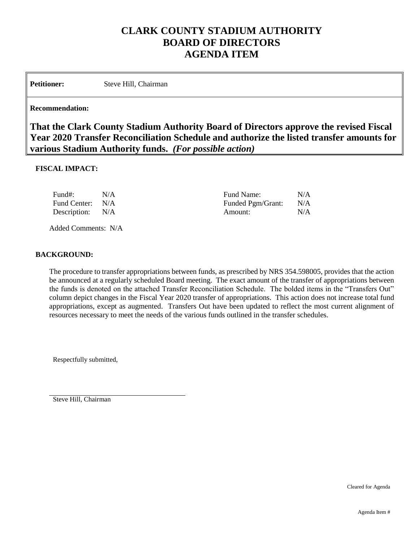## **CLARK COUNTY STADIUM AUTHORITY BOARD OF DIRECTORS AGENDA ITEM**

Petitioner: Steve Hill, Chairman

## **Recommendation:**

**That the Clark County Stadium Authority Board of Directors approve the revised Fiscal Year 2020 Transfer Reconciliation Schedule and authorize the listed transfer amounts for various Stadium Authority funds.** *(For possible action)*

## **FISCAL IMPACT:**

| Fund#:           | N/A | Fund Name:        | N/A |
|------------------|-----|-------------------|-----|
| Fund Center: N/A |     | Funded Pgm/Grant: | N/A |
| Description: N/A |     | Amount:           | N/A |

Added Comments: N/A

## **BACKGROUND:**

The procedure to transfer appropriations between funds, as prescribed by NRS 354.598005, provides that the action be announced at a regularly scheduled Board meeting. The exact amount of the transfer of appropriations between the funds is denoted on the attached Transfer Reconciliation Schedule. The bolded items in the "Transfers Out" column depict changes in the Fiscal Year 2020 transfer of appropriations. This action does not increase total fund appropriations, except as augmented. Transfers Out have been updated to reflect the most current alignment of resources necessary to meet the needs of the various funds outlined in the transfer schedules.

Respectfully submitted,

Steve Hill, Chairman